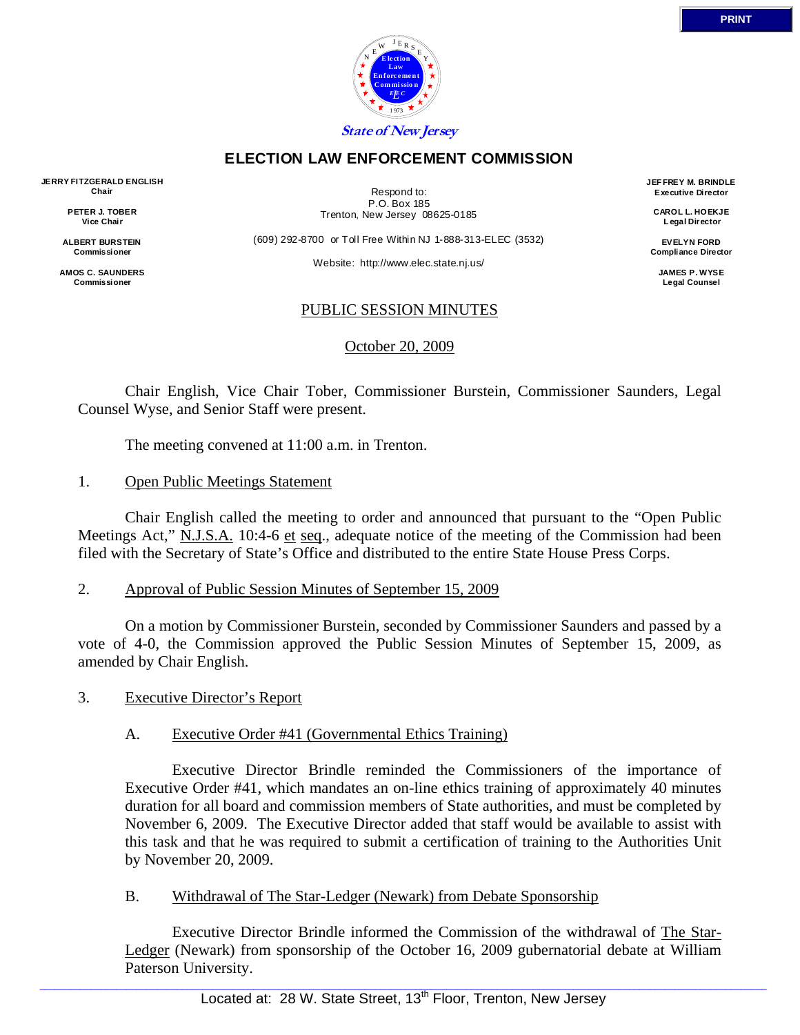

#### **ELECTION LAW ENFORCEMENT COMMISSION**

**JERRY FITZGERALD ENGLISH Chair** 

> **PETER J. TOBER Vice Chair**

**ALBERT BURSTEIN Commissioner** 

**AMOS C. SAUNDERS Commissioner** 

Respond to: P.O. Box 185 Trenton, New Jersey 08625-0185

(609) 292-8700 or Toll Free Within NJ 1-888-313-ELEC (3532)

Website: http://www.elec.state.nj.us/

**JEF FREY M. BRINDLE Executive Director** 

> **CAROL L. HOEKJE L egal Director**

**EVELYN FORD Compliance Director** 

> **JAMES P. WYSE Legal Counsel**

# PUBLIC SESSION MINUTES

October 20, 2009

 Chair English, Vice Chair Tober, Commissioner Burstein, Commissioner Saunders, Legal Counsel Wyse, and Senior Staff were present.

The meeting convened at 11:00 a.m. in Trenton.

# 1. Open Public Meetings Statement

 Chair English called the meeting to order and announced that pursuant to the "Open Public Meetings Act," N.J.S.A. 10:4-6 et seq., adequate notice of the meeting of the Commission had been filed with the Secretary of State's Office and distributed to the entire State House Press Corps.

## 2. Approval of Public Session Minutes of September 15, 2009

 On a motion by Commissioner Burstein, seconded by Commissioner Saunders and passed by a vote of 4-0, the Commission approved the Public Session Minutes of September 15, 2009, as amended by Chair English.

3. Executive Director's Report

## A. Executive Order #41 (Governmental Ethics Training)

 Executive Director Brindle reminded the Commissioners of the importance of Executive Order #41, which mandates an on-line ethics training of approximately 40 minutes duration for all board and commission members of State authorities, and must be completed by November 6, 2009. The Executive Director added that staff would be available to assist with this task and that he was required to submit a certification of training to the Authorities Unit by November 20, 2009.

## B. Withdrawal of The Star-Ledger (Newark) from Debate Sponsorship

 Executive Director Brindle informed the Commission of the withdrawal of The Star-Ledger (Newark) from sponsorship of the October 16, 2009 gubernatorial debate at William Paterson University.

 $\_$  , and the state of the state of the state of the state of the state of the state of the state of the state of the state of the state of the state of the state of the state of the state of the state of the state of the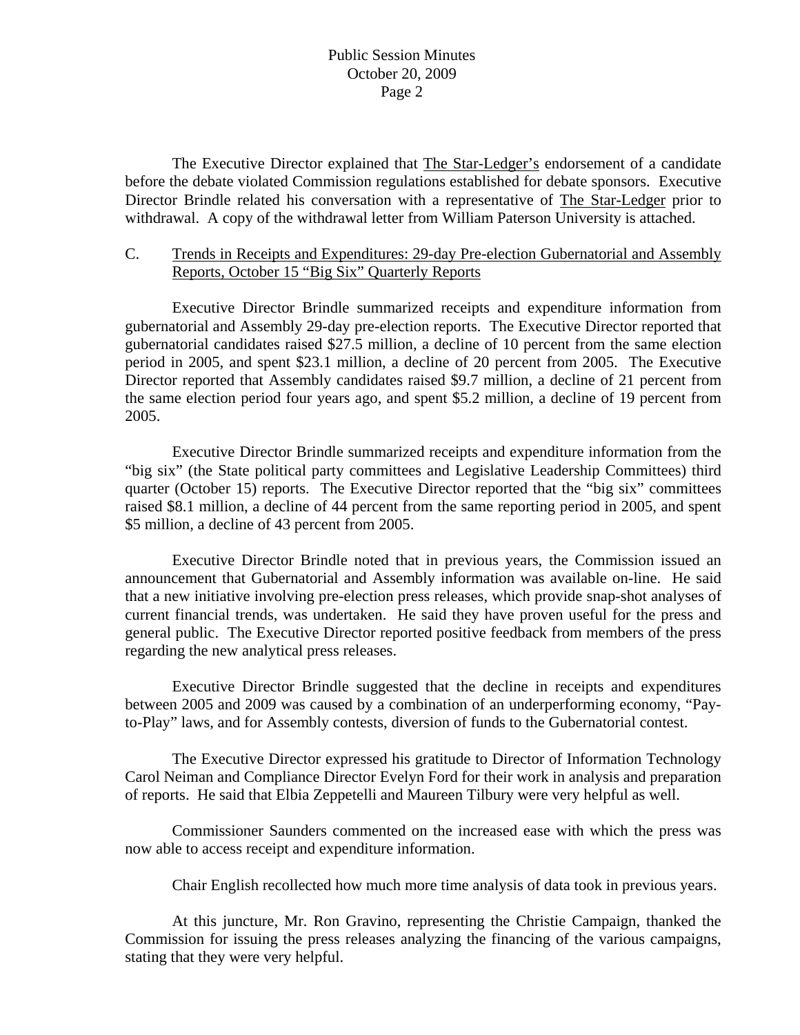The Executive Director explained that The Star-Ledger's endorsement of a candidate before the debate violated Commission regulations established for debate sponsors. Executive Director Brindle related his conversation with a representative of The Star-Ledger prior to withdrawal. A copy of the withdrawal letter from William Paterson University is attached.

# C. Trends in Receipts and Expenditures: 29-day Pre-election Gubernatorial and Assembly Reports, October 15 "Big Six" Quarterly Reports

 Executive Director Brindle summarized receipts and expenditure information from gubernatorial and Assembly 29-day pre-election reports. The Executive Director reported that gubernatorial candidates raised \$27.5 million, a decline of 10 percent from the same election period in 2005, and spent \$23.1 million, a decline of 20 percent from 2005. The Executive Director reported that Assembly candidates raised \$9.7 million, a decline of 21 percent from the same election period four years ago, and spent \$5.2 million, a decline of 19 percent from 2005.

 Executive Director Brindle summarized receipts and expenditure information from the "big six" (the State political party committees and Legislative Leadership Committees) third quarter (October 15) reports. The Executive Director reported that the "big six" committees raised \$8.1 million, a decline of 44 percent from the same reporting period in 2005, and spent \$5 million, a decline of 43 percent from 2005.

 Executive Director Brindle noted that in previous years, the Commission issued an announcement that Gubernatorial and Assembly information was available on-line. He said that a new initiative involving pre-election press releases, which provide snap-shot analyses of current financial trends, was undertaken. He said they have proven useful for the press and general public. The Executive Director reported positive feedback from members of the press regarding the new analytical press releases.

 Executive Director Brindle suggested that the decline in receipts and expenditures between 2005 and 2009 was caused by a combination of an underperforming economy, "Payto-Play" laws, and for Assembly contests, diversion of funds to the Gubernatorial contest.

 The Executive Director expressed his gratitude to Director of Information Technology Carol Neiman and Compliance Director Evelyn Ford for their work in analysis and preparation of reports. He said that Elbia Zeppetelli and Maureen Tilbury were very helpful as well.

 Commissioner Saunders commented on the increased ease with which the press was now able to access receipt and expenditure information.

Chair English recollected how much more time analysis of data took in previous years.

 At this juncture, Mr. Ron Gravino, representing the Christie Campaign, thanked the Commission for issuing the press releases analyzing the financing of the various campaigns, stating that they were very helpful.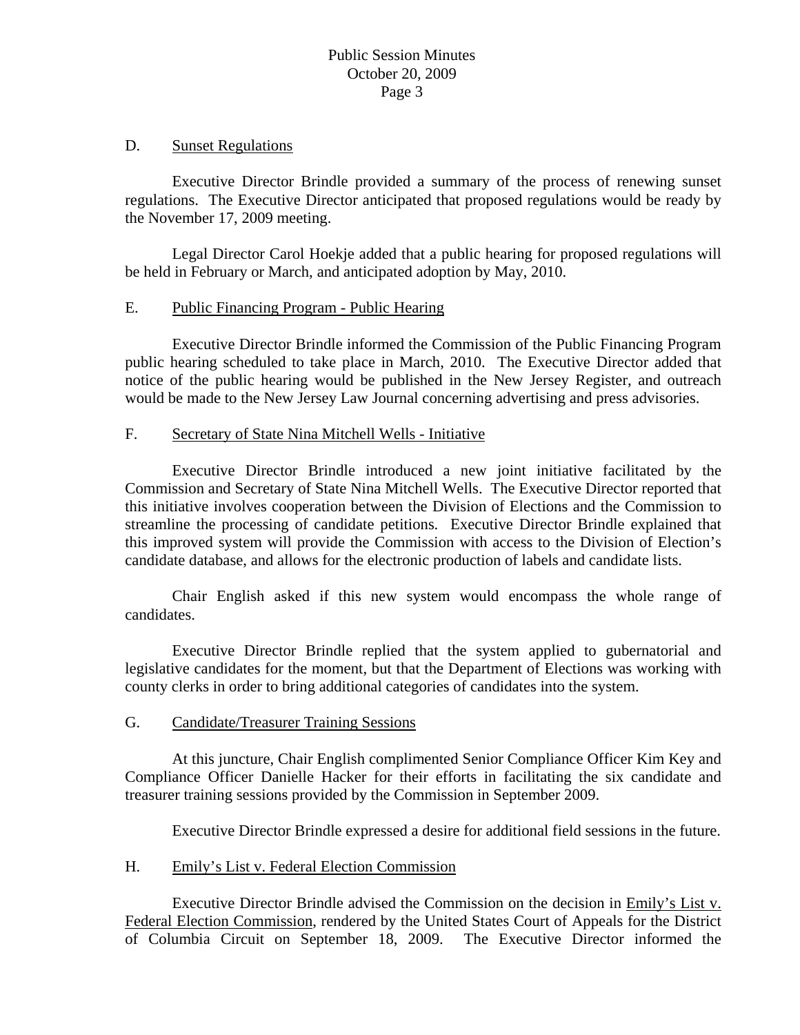#### D. Sunset Regulations

 Executive Director Brindle provided a summary of the process of renewing sunset regulations. The Executive Director anticipated that proposed regulations would be ready by the November 17, 2009 meeting.

 Legal Director Carol Hoekje added that a public hearing for proposed regulations will be held in February or March, and anticipated adoption by May, 2010.

## E. Public Financing Program - Public Hearing

 Executive Director Brindle informed the Commission of the Public Financing Program public hearing scheduled to take place in March, 2010. The Executive Director added that notice of the public hearing would be published in the New Jersey Register, and outreach would be made to the New Jersey Law Journal concerning advertising and press advisories.

## F. Secretary of State Nina Mitchell Wells - Initiative

 Executive Director Brindle introduced a new joint initiative facilitated by the Commission and Secretary of State Nina Mitchell Wells. The Executive Director reported that this initiative involves cooperation between the Division of Elections and the Commission to streamline the processing of candidate petitions. Executive Director Brindle explained that this improved system will provide the Commission with access to the Division of Election's candidate database, and allows for the electronic production of labels and candidate lists.

 Chair English asked if this new system would encompass the whole range of candidates.

 Executive Director Brindle replied that the system applied to gubernatorial and legislative candidates for the moment, but that the Department of Elections was working with county clerks in order to bring additional categories of candidates into the system.

## G. Candidate/Treasurer Training Sessions

 At this juncture, Chair English complimented Senior Compliance Officer Kim Key and Compliance Officer Danielle Hacker for their efforts in facilitating the six candidate and treasurer training sessions provided by the Commission in September 2009.

Executive Director Brindle expressed a desire for additional field sessions in the future.

## H. Emily's List v. Federal Election Commission

 Executive Director Brindle advised the Commission on the decision in Emily's List v. Federal Election Commission, rendered by the United States Court of Appeals for the District of Columbia Circuit on September 18, 2009. The Executive Director informed the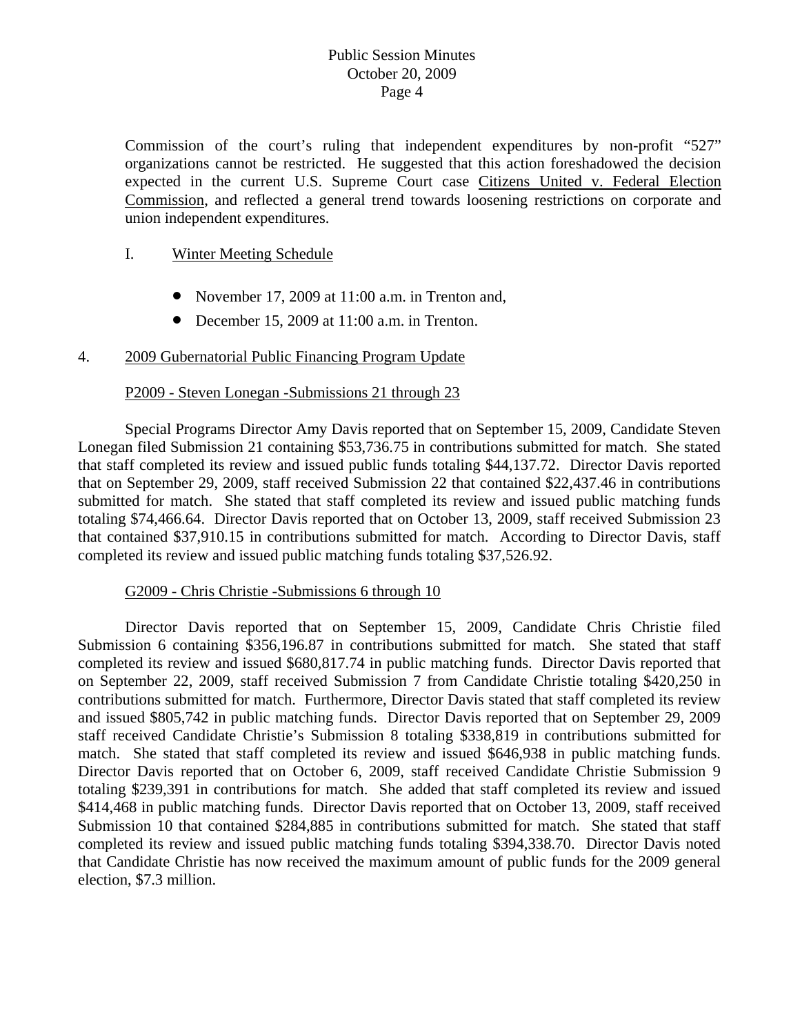Commission of the court's ruling that independent expenditures by non-profit "527" organizations cannot be restricted. He suggested that this action foreshadowed the decision expected in the current U.S. Supreme Court case Citizens United v. Federal Election Commission, and reflected a general trend towards loosening restrictions on corporate and union independent expenditures.

## I. Winter Meeting Schedule

- November 17, 2009 at 11:00 a.m. in Trenton and,
- December 15, 2009 at 11:00 a.m. in Trenton.

#### 4. 2009 Gubernatorial Public Financing Program Update

#### P2009 - Steven Lonegan -Submissions 21 through 23

 Special Programs Director Amy Davis reported that on September 15, 2009, Candidate Steven Lonegan filed Submission 21 containing \$53,736.75 in contributions submitted for match. She stated that staff completed its review and issued public funds totaling \$44,137.72. Director Davis reported that on September 29, 2009, staff received Submission 22 that contained \$22,437.46 in contributions submitted for match. She stated that staff completed its review and issued public matching funds totaling \$74,466.64. Director Davis reported that on October 13, 2009, staff received Submission 23 that contained \$37,910.15 in contributions submitted for match. According to Director Davis, staff completed its review and issued public matching funds totaling \$37,526.92.

#### G2009 - Chris Christie -Submissions 6 through 10

 Director Davis reported that on September 15, 2009, Candidate Chris Christie filed Submission 6 containing \$356,196.87 in contributions submitted for match. She stated that staff completed its review and issued \$680,817.74 in public matching funds. Director Davis reported that on September 22, 2009, staff received Submission 7 from Candidate Christie totaling \$420,250 in contributions submitted for match. Furthermore, Director Davis stated that staff completed its review and issued \$805,742 in public matching funds. Director Davis reported that on September 29, 2009 staff received Candidate Christie's Submission 8 totaling \$338,819 in contributions submitted for match. She stated that staff completed its review and issued \$646,938 in public matching funds. Director Davis reported that on October 6, 2009, staff received Candidate Christie Submission 9 totaling \$239,391 in contributions for match. She added that staff completed its review and issued \$414,468 in public matching funds. Director Davis reported that on October 13, 2009, staff received Submission 10 that contained \$284,885 in contributions submitted for match. She stated that staff completed its review and issued public matching funds totaling \$394,338.70. Director Davis noted that Candidate Christie has now received the maximum amount of public funds for the 2009 general election, \$7.3 million.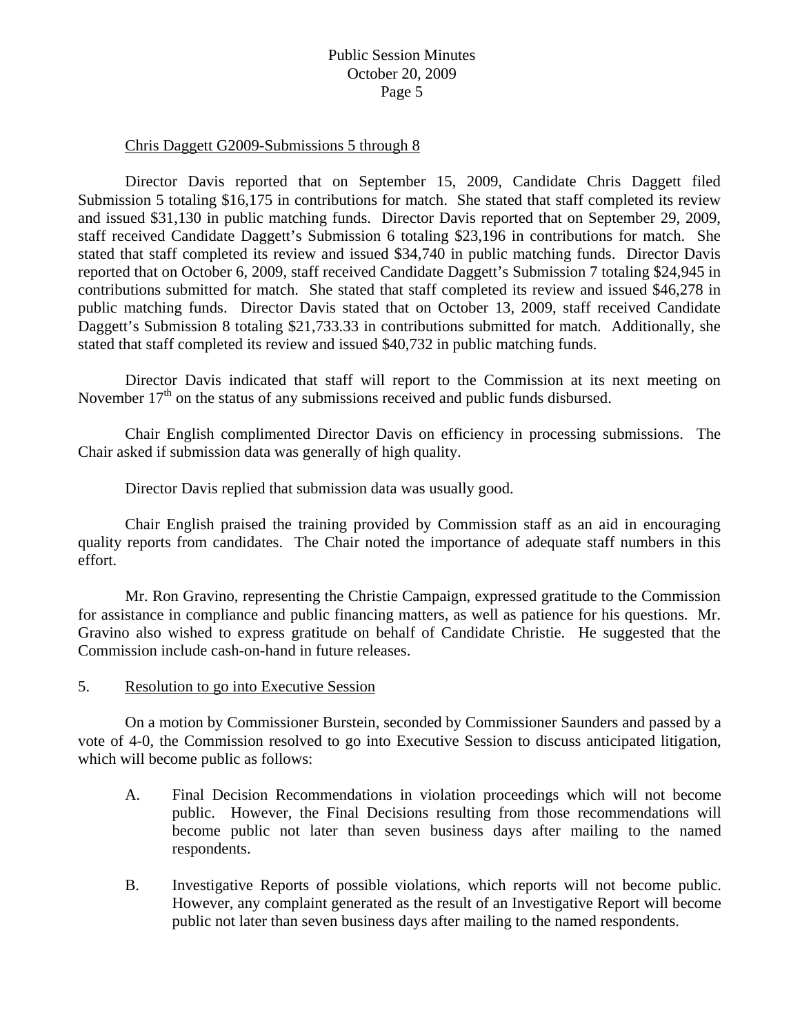#### Chris Daggett G2009-Submissions 5 through 8

 Director Davis reported that on September 15, 2009, Candidate Chris Daggett filed Submission 5 totaling \$16,175 in contributions for match. She stated that staff completed its review and issued \$31,130 in public matching funds. Director Davis reported that on September 29, 2009, staff received Candidate Daggett's Submission 6 totaling \$23,196 in contributions for match. She stated that staff completed its review and issued \$34,740 in public matching funds. Director Davis reported that on October 6, 2009, staff received Candidate Daggett's Submission 7 totaling \$24,945 in contributions submitted for match. She stated that staff completed its review and issued \$46,278 in public matching funds. Director Davis stated that on October 13, 2009, staff received Candidate Daggett's Submission 8 totaling \$21,733.33 in contributions submitted for match. Additionally, she stated that staff completed its review and issued \$40,732 in public matching funds.

 Director Davis indicated that staff will report to the Commission at its next meeting on November  $17<sup>th</sup>$  on the status of any submissions received and public funds disbursed.

 Chair English complimented Director Davis on efficiency in processing submissions. The Chair asked if submission data was generally of high quality.

Director Davis replied that submission data was usually good.

 Chair English praised the training provided by Commission staff as an aid in encouraging quality reports from candidates. The Chair noted the importance of adequate staff numbers in this effort.

 Mr. Ron Gravino, representing the Christie Campaign, expressed gratitude to the Commission for assistance in compliance and public financing matters, as well as patience for his questions. Mr. Gravino also wished to express gratitude on behalf of Candidate Christie. He suggested that the Commission include cash-on-hand in future releases.

5. Resolution to go into Executive Session

 On a motion by Commissioner Burstein, seconded by Commissioner Saunders and passed by a vote of 4-0, the Commission resolved to go into Executive Session to discuss anticipated litigation, which will become public as follows:

- A. Final Decision Recommendations in violation proceedings which will not become public. However, the Final Decisions resulting from those recommendations will become public not later than seven business days after mailing to the named respondents.
- B. Investigative Reports of possible violations, which reports will not become public. However, any complaint generated as the result of an Investigative Report will become public not later than seven business days after mailing to the named respondents.